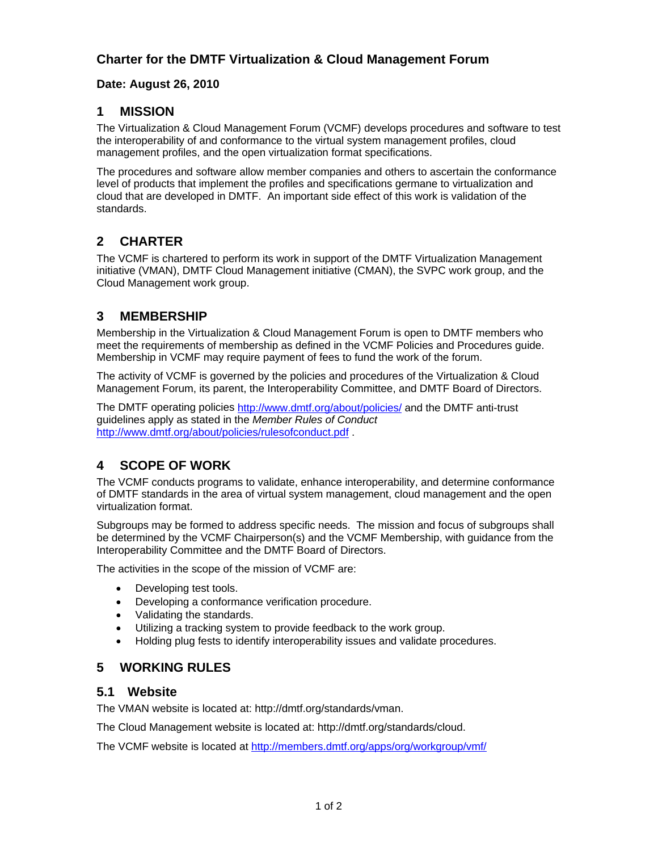### **Date: August 26, 2010**

### **1 MISSION**

The Virtualization & Cloud Management Forum (VCMF) develops procedures and software to test the interoperability of and conformance to the virtual system management profiles, cloud management profiles, and the open virtualization format specifications.

The procedures and software allow member companies and others to ascertain the conformance level of products that implement the profiles and specifications germane to virtualization and cloud that are developed in DMTF. An important side effect of this work is validation of the standards.

# **2 CHARTER**

The VCMF is chartered to perform its work in support of the DMTF Virtualization Management initiative (VMAN), DMTF Cloud Management initiative (CMAN), the SVPC work group, and the Cloud Management work group.

### **3 MEMBERSHIP**

Membership in the Virtualization & Cloud Management Forum is open to DMTF members who meet the requirements of membership as defined in the VCMF Policies and Procedures guide. Membership in VCMF may require payment of fees to fund the work of the forum.

The activity of VCMF is governed by the policies and procedures of the Virtualization & Cloud Management Forum, its parent, the Interoperability Committee, and DMTF Board of Directors.

The DMTF operating policies<http://www.dmtf.org/about/policies/>and the DMTF anti-trust guidelines apply as stated in the *Member Rules of Conduct*  <http://www.dmtf.org/about/policies/rulesofconduct.pdf>.

# **4 SCOPE OF WORK**

The VCMF conducts programs to validate, enhance interoperability, and determine conformance of DMTF standards in the area of virtual system management, cloud management and the open virtualization format.

Subgroups may be formed to address specific needs. The mission and focus of subgroups shall be determined by the VCMF Chairperson(s) and the VCMF Membership, with guidance from the Interoperability Committee and the DMTF Board of Directors.

The activities in the scope of the mission of VCMF are:

- Developing test tools.
- Developing a conformance verification procedure.
- Validating the standards.
- Utilizing a tracking system to provide feedback to the work group.
- Holding plug fests to identify interoperability issues and validate procedures.

### **5 WORKING RULES**

#### **5.1 Website**

The VMAN website is located at: http://dmtf.org/standards/vman.

The Cloud Management website is located at: http://dmtf.org/standards/cloud.

The VCMF website is located at <http://members.dmtf.org/apps/org/workgroup/vmf/>